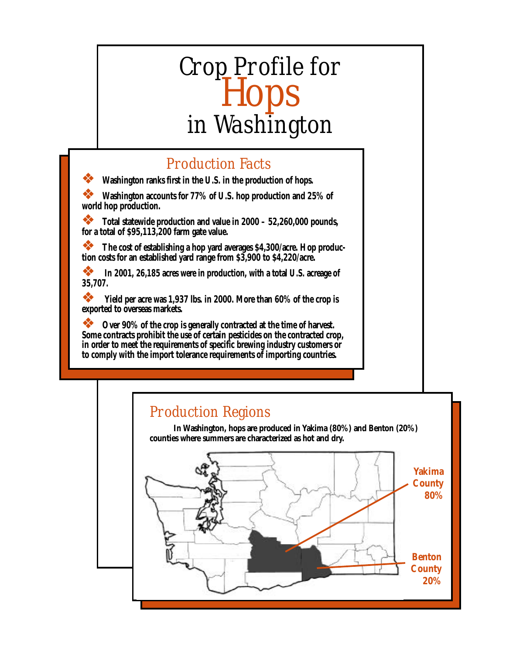# Crop Profile for Hops in Washington

# Production Facts

❖ **Washington ranks first in the U.S. in the production of hops.**

❖ **Washington accounts for 77% of U.S. hop production and 25% of world hop production.**

❖ **Total statewide production and value in 2000 – 52,260,000 pounds, for a total of \$95,113,200 farm gate value.**

❖ **The cost of establishing a hop yard averages \$4,300/acre. Hop production costs for an established yard range from \$3,900 to \$4,220/acre.**

**•••** In 2001, 26,185 acres were in production, with a total U.S. acreage of **35,707.**

❖ **Yield per acre was 1,937 lbs. in 2000. More than 60% of the crop is exported to overseas markets.**

❖ **Over 90% of the crop is generally contracted at the time of harvest. Some contracts prohibit the use of certain pesticides on the contracted crop, in order to meet the requirements of specific brewing industry customers or to comply with the import tolerance requirements of importing countries.**

# Production Regions

**In Washington, hops are produced in Yakima (80%) and Benton (20%) counties where summers are characterized as hot and dry.**

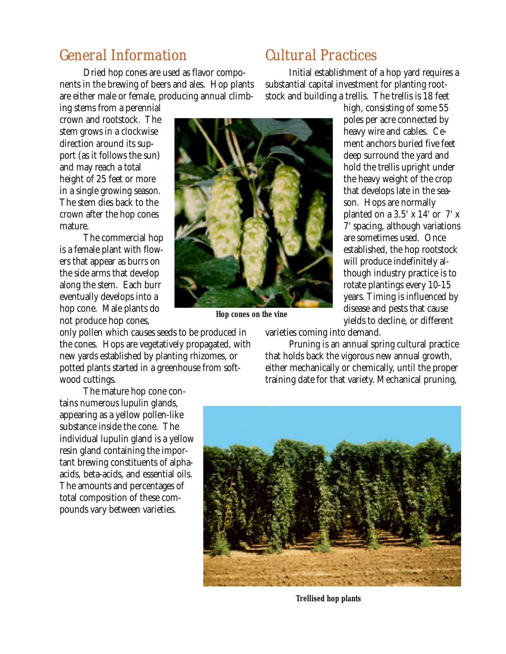# General Information

Dried hop cones are used as flavor components in the brewing of beers and ales. Hop plants are either male or female, producing annual climb-

ing stems from a perennial crown and rootstock. The stem grows in a clockwise direction around its support (as it follows the sun) and may reach a total height of 25 feet or more in a single growing season. The stem dies back to the crown after the hop cones mature.

The commercial hop is a female plant with flowers that appear as burrs on the side arms that develop along the stem. Each burr eventually develops into a hop cone. Male plants do not produce hop cones,

only pollen which causes seeds to be produced in the cones. Hops are vegetatively propagated, with new yards established by planting rhizomes, or potted plants started in a greenhouse from softwood cuttings.

The mature hop cone contains numerous lupulin glands, appearing as a yellow pollen-like substance inside the cone. The individual lupulin gland is a yellow resin gland containing the important brewing constituents of alphaacids, beta-acids, and essential oils. The amounts and percentages of total composition of these compounds vary between varieties.

# Cultural Practices

Initial establishment of a hop yard requires a substantial capital investment for planting rootstock and building a trellis. The trellis is 18 feet



*Hop cones on the vine*

high, consisting of some 55 poles per acre connected by heavy wire and cables. Cement anchors buried five feet deep surround the yard and hold the trellis upright under the heavy weight of the crop that develops late in the season. Hops are normally planted on a  $3.5'$  x  $14'$  or  $7'$  x 7' spacing, although variations are sometimes used. Once established, the hop rootstock will produce indefinitely although industry practice is to rotate plantings every 10-15 years. Timing is influenced by disease and pests that cause yields to decline, or different

varieties coming into demand.

Pruning is an annual spring cultural practice that holds back the vigorous new annual growth, either mechanically or chemically, until the proper training date for that variety. Mechanical pruning,



*Trellised hop plants*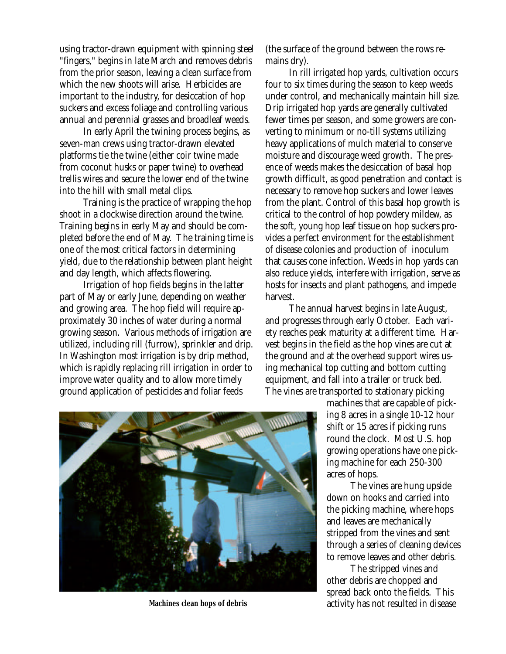using tractor-drawn equipment with spinning steel "fingers," begins in late March and removes debris from the prior season, leaving a clean surface from which the new shoots will arise. Herbicides are important to the industry, for desiccation of hop suckers and excess foliage and controlling various annual and perennial grasses and broadleaf weeds.

In early April the twining process begins, as seven-man crews using tractor-drawn elevated platforms tie the twine (either coir twine made from coconut husks or paper twine) to overhead trellis wires and secure the lower end of the twine into the hill with small metal clips.

Training is the practice of wrapping the hop shoot in a clockwise direction around the twine. Training begins in early May and should be completed before the end of May. The training time is one of the most critical factors in determining yield, due to the relationship between plant height and day length, which affects flowering.

Irrigation of hop fields begins in the latter part of May or early June, depending on weather and growing area. The hop field will require approximately 30 inches of water during a normal growing season. Various methods of irrigation are utilized, including rill (furrow), sprinkler and drip. In Washington most irrigation is by drip method, which is rapidly replacing rill irrigation in order to improve water quality and to allow more timely ground application of pesticides and foliar feeds

(the surface of the ground between the rows remains dry).

In rill irrigated hop yards, cultivation occurs four to six times during the season to keep weeds under control, and mechanically maintain hill size. Drip irrigated hop yards are generally cultivated fewer times per season, and some growers are converting to minimum or no-till systems utilizing heavy applications of mulch material to conserve moisture and discourage weed growth. The presence of weeds makes the desiccation of basal hop growth difficult, as good penetration and contact is necessary to remove hop suckers and lower leaves from the plant. Control of this basal hop growth is critical to the control of hop powdery mildew, as the soft, young hop leaf tissue on hop suckers provides a perfect environment for the establishment of disease colonies and production of inoculum that causes cone infection. Weeds in hop yards can also reduce yields, interfere with irrigation, serve as hosts for insects and plant pathogens, and impede harvest.

The annual harvest begins in late August, and progresses through early October. Each variety reaches peak maturity at a different time. Harvest begins in the field as the hop vines are cut at the ground and at the overhead support wires using mechanical top cutting and bottom cutting equipment, and fall into a trailer or truck bed. The vines are transported to stationary picking

> machines that are capable of picking 8 acres in a single 10-12 hour shift or 15 acres if picking runs round the clock. Most U.S. hop growing operations have one picking machine for each 250-300 acres of hops.

The vines are hung upside down on hooks and carried into the picking machine, where hops and leaves are mechanically stripped from the vines and sent through a series of cleaning devices to remove leaves and other debris.

The stripped vines and other debris are chopped and spread back onto the fields. This activity has not resulted in disease



*Machines clean hops of debris*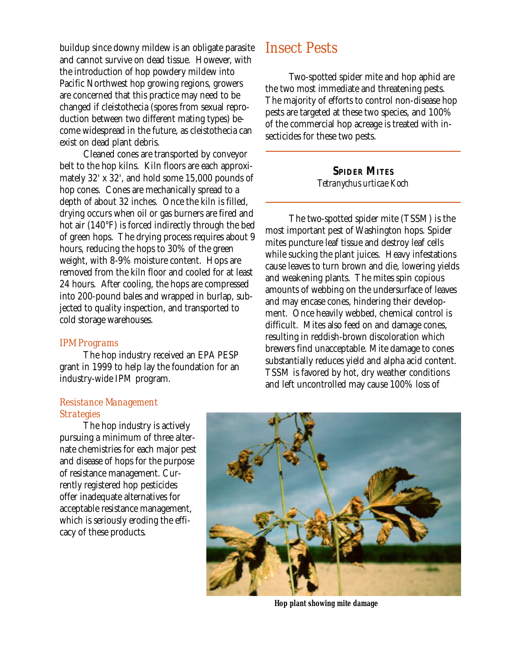buildup since downy mildew is an obligate parasite and cannot survive on dead tissue. However, with the introduction of hop powdery mildew into Pacific Northwest hop growing regions, growers are concerned that this practice may need to be changed if cleistothecia (spores from sexual reproduction between two different mating types) become widespread in the future, as cleistothecia can exist on dead plant debris.

Cleaned cones are transported by conveyor belt to the hop kilns. Kiln floors are each approximately 32' x 32', and hold some 15,000 pounds of hop cones. Cones are mechanically spread to a depth of about 32 inches. Once the kiln is filled, drying occurs when oil or gas burners are fired and hot air (140°F) is forced indirectly through the bed of green hops. The drying process requires about 9 hours, reducing the hops to 30% of the green weight, with 8-9% moisture content. Hops are removed from the kiln floor and cooled for at least 24 hours. After cooling, the hops are compressed into 200-pound bales and wrapped in burlap, subjected to quality inspection, and transported to cold storage warehouses.

#### *IPM Programs*

The hop industry received an EPA PESP grant in 1999 to help lay the foundation for an industry-wide IPM program.

# Insect Pests

Two-spotted spider mite and hop aphid are the two most immediate and threatening pests. The majority of efforts to control non-disease hop pests are targeted at these two species, and 100% of the commercial hop acreage is treated with insecticides for these two pests.

> **SPIDER MITES** *Tetranychus urticae Koch*

The two-spotted spider mite (TSSM) is the most important pest of Washington hops. Spider mites puncture leaf tissue and destroy leaf cells while sucking the plant juices. Heavy infestations cause leaves to turn brown and die, lowering yields and weakening plants. The mites spin copious amounts of webbing on the undersurface of leaves and may encase cones, hindering their development. Once heavily webbed, chemical control is difficult. Mites also feed on and damage cones, resulting in reddish-brown discoloration which brewers find unacceptable. Mite damage to cones substantially reduces yield and alpha acid content. TSSM is favored by hot, dry weather conditions and left uncontrolled may cause 100% loss of

## *Resistance Management Strategies*

The hop industry is actively pursuing a minimum of three alternate chemistries for each major pest and disease of hops for the purpose of resistance management. Currently registered hop pesticides offer inadequate alternatives for acceptable resistance management, which is seriously eroding the efficacy of these products.



*Hop plant showing mite damage*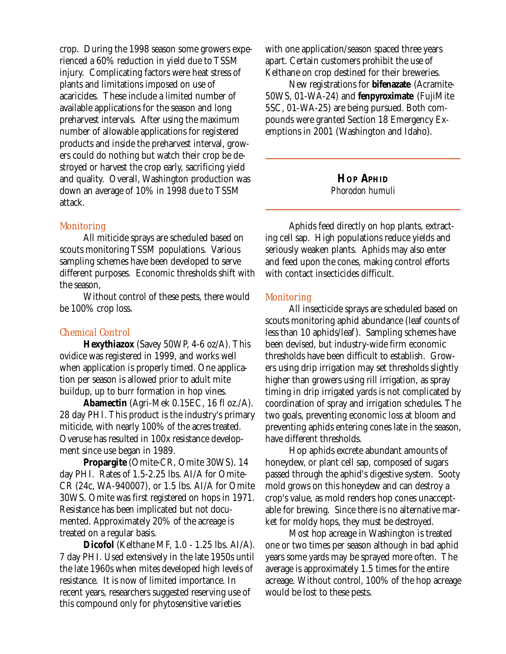crop. During the 1998 season some growers experienced a 60% reduction in yield due to TSSM injury. Complicating factors were heat stress of plants and limitations imposed on use of acaricides. These include a limited number of available applications for the season and long preharvest intervals. After using the maximum number of allowable applications for registered products and inside the preharvest interval, growers could do nothing but watch their crop be destroyed or harvest the crop early, sacrificing yield and quality. Overall, Washington production was down an average of 10% in 1998 due to TSSM attack.

#### *Monitoring*

All miticide sprays are scheduled based on scouts monitoring TSSM populations. Various sampling schemes have been developed to serve different purposes. Economic thresholds shift with the season,

Without control of these pests, there would be 100% crop loss.

### *Chemical Control*

**Hexythiazox** (Savey 50WP, 4-6 oz/A). This ovidice was registered in 1999, and works well when application is properly timed. One application per season is allowed prior to adult mite buildup, up to burr formation in hop vines.

**Abamectin** (Agri-Mek 0.15EC, 16 fl oz./A). 28 day PHI. This product is the industry's primary miticide, with nearly 100% of the acres treated. Overuse has resulted in 100x resistance development since use began in 1989.

**Propargite** (Omite-CR, Omite 30WS). 14 day PHI. Rates of 1.5-2.25 lbs. AI/A for Omite-CR (24c, WA-940007), or 1.5 lbs. AI/A for Omite 30WS. Omite was first registered on hops in 1971. Resistance has been implicated but not documented. Approximately 20% of the acreage is treated on a regular basis.

**Dicofol** (Kelthane MF, 1.0 - 1.25 lbs. AI/A). 7 day PHI. Used extensively in the late 1950s until the late 1960s when mites developed high levels of resistance. It is now of limited importance. In recent years, researchers suggested reserving use of this compound only for phytosensitive varieties

with one application/season spaced three years apart. Certain customers prohibit the use of Kelthane on crop destined for their breweries.

New registrations for **bifenazate** (Acramite-50WS, 01-WA-24) and **fenpyroximate** (FujiMite 5SC, 01-WA-25) are being pursued. Both compounds were granted Section 18 Emergency Exemptions in 2001 (Washington and Idaho).

## **HOP APHID** *Phorodon humuli*

Aphids feed directly on hop plants, extracting cell sap. High populations reduce yields and seriously weaken plants. Aphids may also enter and feed upon the cones, making control efforts with contact insecticides difficult.

#### *Monitoring*

All insecticide sprays are scheduled based on scouts monitoring aphid abundance (leaf counts of less than 10 aphids/leaf). Sampling schemes have been devised, but industry-wide firm economic thresholds have been difficult to establish. Growers using drip irrigation may set thresholds slightly higher than growers using rill irrigation, as spray timing in drip irrigated yards is not complicated by coordination of spray and irrigation schedules. The two goals, preventing economic loss at bloom and preventing aphids entering cones late in the season, have different thresholds.

Hop aphids excrete abundant amounts of honeydew, or plant cell sap, composed of sugars passed through the aphid's digestive system. Sooty mold grows on this honeydew and can destroy a crop's value, as mold renders hop cones unacceptable for brewing. Since there is no alternative market for moldy hops, they must be destroyed.

Most hop acreage in Washington is treated one or two times per season although in bad aphid years some yards may be sprayed more often. The average is approximately 1.5 times for the entire acreage. Without control, 100% of the hop acreage would be lost to these pests.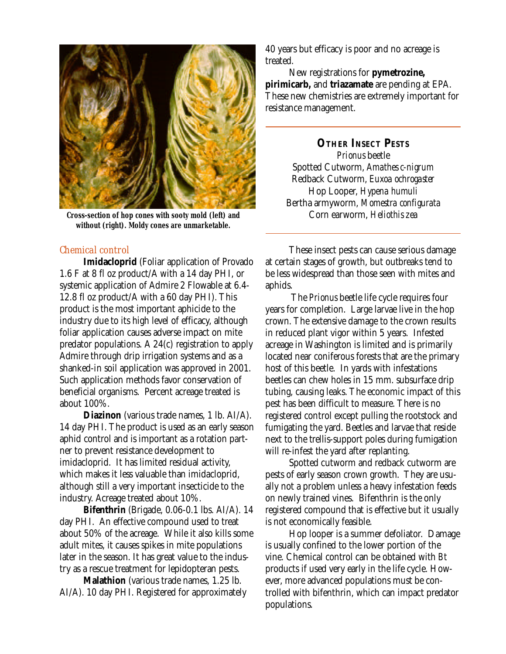

*Cross-section of hop cones with sooty mold (left) and without (right). Moldy cones are unmarketable.*

## *Chemical control*

**Imidacloprid** (Foliar application of Provado 1.6 F at 8 fl oz product/A with a 14 day PHI, or systemic application of Admire 2 Flowable at 6.4- 12.8 fl oz product/A with a 60 day PHI). This product is the most important aphicide to the industry due to its high level of efficacy, although foliar application causes adverse impact on mite predator populations. A 24(c) registration to apply Admire through drip irrigation systems and as a shanked-in soil application was approved in 2001. Such application methods favor conservation of beneficial organisms. Percent acreage treated is about 100%.

**Diazinon** (various trade names, 1 lb. AI/A). 14 day PHI. The product is used as an early season aphid control and is important as a rotation partner to prevent resistance development to imidacloprid. It has limited residual activity, which makes it less valuable than imidacloprid, although still a very important insecticide to the industry. Acreage treated about 10%.

**Bifenthrin** (Brigade, 0.06-0.1 lbs. AI/A). 14 day PHI. An effective compound used to treat about 50% of the acreage. While it also kills some adult mites, it causes spikes in mite populations later in the season. It has great value to the industry as a rescue treatment for lepidopteran pests.

**Malathion** (various trade names, 1.25 lb. AI/A). 10 day PHI. Registered for approximately

40 years but efficacy is poor and no acreage is treated.

New registrations for **pymetrozine, pirimicarb,** and **triazamate** are pending at EPA. These new chemistries are extremely important for resistance management.

**OTHER INSECT PESTS** *Prionus* beetle Spotted Cutworm, *Amathes c-nigrum* Redback Cutworm, *Euxoa ochrogaster* Hop Looper, *Hypena humuli* Bertha armyworm, *Momestra configurata* Corn earworm, *Heliothis zea*

These insect pests can cause serious damage at certain stages of growth, but outbreaks tend to be less widespread than those seen with mites and aphids.

 The *Prionus* beetle life cycle requires four years for completion. Large larvae live in the hop crown. The extensive damage to the crown results in reduced plant vigor within 5 years. Infested acreage in Washington is limited and is primarily located near coniferous forests that are the primary host of this beetle. In yards with infestations beetles can chew holes in 15 mm. subsurface drip tubing, causing leaks. The economic impact of this pest has been difficult to measure. There is no registered control except pulling the rootstock and fumigating the yard. Beetles and larvae that reside next to the trellis-support poles during fumigation will re-infest the yard after replanting.

Spotted cutworm and redback cutworm are pests of early season crown growth. They are usually not a problem unless a heavy infestation feeds on newly trained vines. Bifenthrin is the only registered compound that is effective but it usually is not economically feasible.

Hop looper is a summer defoliator. Damage is usually confined to the lower portion of the vine. Chemical control can be obtained with *Bt* products if used very early in the life cycle. However, more advanced populations must be controlled with bifenthrin, which can impact predator populations.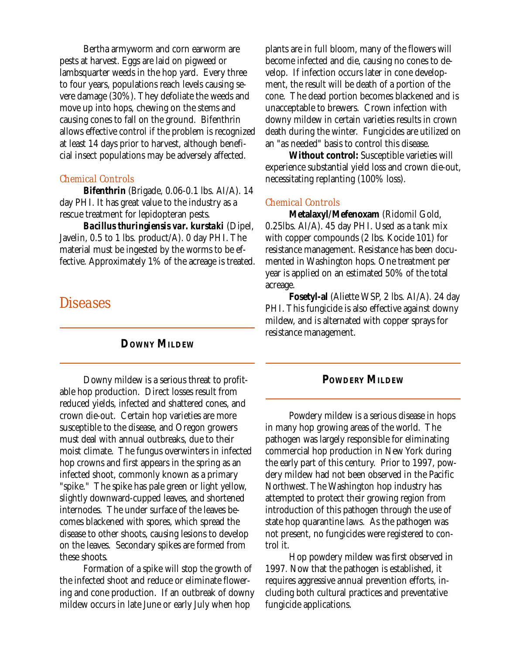Bertha armyworm and corn earworm are pests at harvest. Eggs are laid on pigweed or lambsquarter weeds in the hop yard. Every three to four years, populations reach levels causing severe damage (30%). They defoliate the weeds and move up into hops, chewing on the stems and causing cones to fall on the ground. Bifenthrin allows effective control if the problem is recognized at least 14 days prior to harvest, although beneficial insect populations may be adversely affected.

## *Chemical Controls*

**Bifenthrin** (Brigade, 0.06-0.1 lbs. AI/A). 14 day PHI. It has great value to the industry as a rescue treatment for lepidopteran pests.

*Bacillus thuringiensis var. kurstaki* (Dipel, Javelin, 0.5 to 1 lbs. product/A). 0 day PHI. The material must be ingested by the worms to be effective. Approximately 1% of the acreage is treated.

# **Diseases**

## **DOWNY MILDEW**

Downy mildew is a serious threat to profitable hop production. Direct losses result from reduced yields, infected and shattered cones, and crown die-out. Certain hop varieties are more susceptible to the disease, and Oregon growers must deal with annual outbreaks, due to their moist climate. The fungus overwinters in infected hop crowns and first appears in the spring as an infected shoot, commonly known as a primary "spike." The spike has pale green or light yellow, slightly downward-cupped leaves, and shortened internodes. The under surface of the leaves becomes blackened with spores, which spread the disease to other shoots, causing lesions to develop on the leaves. Secondary spikes are formed from these shoots.

Formation of a spike will stop the growth of the infected shoot and reduce or eliminate flowering and cone production. If an outbreak of downy mildew occurs in late June or early July when hop

plants are in full bloom, many of the flowers will become infected and die, causing no cones to develop. If infection occurs later in cone development, the result will be death of a portion of the cone. The dead portion becomes blackened and is unacceptable to brewers. Crown infection with downy mildew in certain varieties results in crown death during the winter. Fungicides are utilized on an "as needed" basis to control this disease.

**Without control:** Susceptible varieties will experience substantial yield loss and crown die-out, necessitating replanting (100% loss).

#### *Chemical Controls*

**Metalaxyl/Mefenoxam** (Ridomil Gold, 0.25lbs. AI/A). 45 day PHI. Used as a tank mix with copper compounds (2 lbs. Kocide 101) for resistance management. Resistance has been documented in Washington hops. One treatment per year is applied on an estimated 50% of the total acreage.

**Fosetyl-al** (Aliette WSP, 2 lbs. AI/A). 24 day PHI. This fungicide is also effective against downy mildew, and is alternated with copper sprays for resistance management.

## **POWDERY MILDEW**

Powdery mildew is a serious disease in hops in many hop growing areas of the world. The pathogen was largely responsible for eliminating commercial hop production in New York during the early part of this century. Prior to 1997, powdery mildew had not been observed in the Pacific Northwest. The Washington hop industry has attempted to protect their growing region from introduction of this pathogen through the use of state hop quarantine laws. As the pathogen was not present, no fungicides were registered to control it.

Hop powdery mildew was first observed in 1997. Now that the pathogen is established, it requires aggressive annual prevention efforts, including both cultural practices and preventative fungicide applications.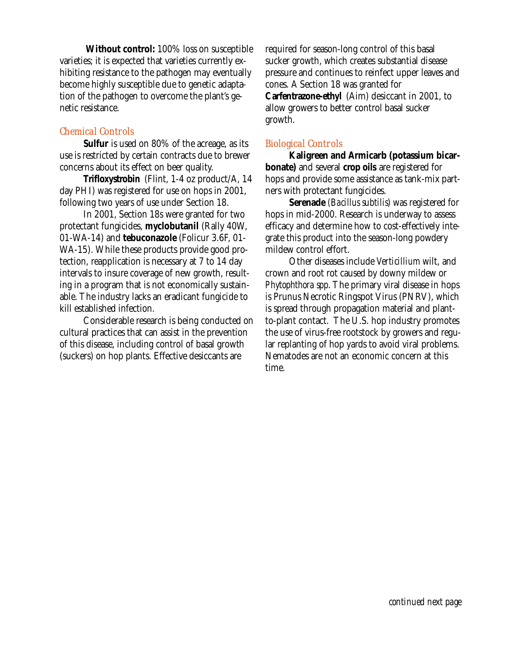**Without control:** 100% loss on susceptible varieties; it is expected that varieties currently exhibiting resistance to the pathogen may eventually become highly susceptible due to genetic adaptation of the pathogen to overcome the plant's genetic resistance.

## *Chemical Controls*

**Sulfur** is used on 80% of the acreage, as its use is restricted by certain contracts due to brewer concerns about its effect on beer quality.

**Trifloxystrobin** (Flint, 1-4 oz product/A, 14 day PHI) was registered for use on hops in 2001, following two years of use under Section 18.

In 2001, Section 18s were granted for two protectant fungicides, **myclobutanil** (Rally 40W, 01-WA-14) and **tebuconazole** (Folicur 3.6F, 01- WA-15). While these products provide good protection, reapplication is necessary at 7 to 14 day intervals to insure coverage of new growth, resulting in a program that is not economically sustainable. The industry lacks an eradicant fungicide to kill established infection.

Considerable research is being conducted on cultural practices that can assist in the prevention of this disease, including control of basal growth (suckers) on hop plants. Effective desiccants are

required for season-long control of this basal sucker growth, which creates substantial disease pressure and continues to reinfect upper leaves and cones. A Section 18 was granted for **Carfentrazone-ethyl** (Aim) desiccant in 2001, to allow growers to better control basal sucker growth.

## *Biological Controls*

**Kaligreen and Armicarb (potassium bicarbonate)** and several **crop oils** are registered for hops and provide some assistance as tank-mix partners with protectant fungicides.

**Serenade** *(Bacillus subtilis)* was registered for hops in mid-2000. Research is underway to assess efficacy and determine how to cost-effectively integrate this product into the season-long powdery mildew control effort.

Other diseases include *Verticillium* wilt, and crown and root rot caused by downy mildew or *Phytophthora spp*. The primary viral disease in hops is Prunus Necrotic Ringspot Virus (PNRV), which is spread through propagation material and plantto-plant contact. The U.S. hop industry promotes the use of virus-free rootstock by growers and regular replanting of hop yards to avoid viral problems. Nematodes are not an economic concern at this time.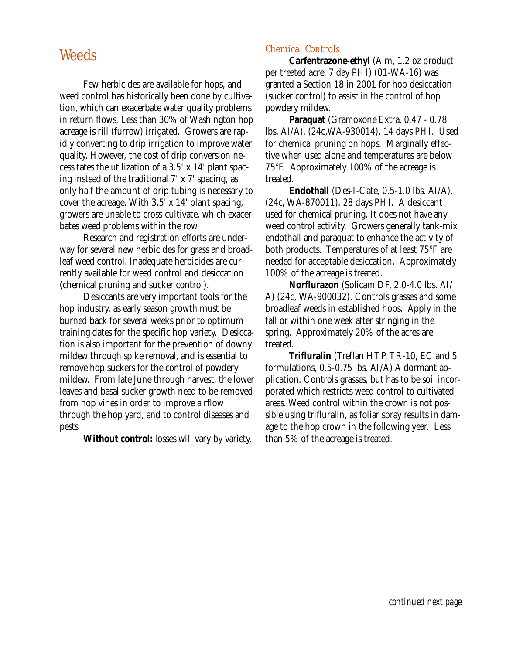# **Weeds**

Few herbicides are available for hops, and weed control has historically been done by cultivation, which can exacerbate water quality problems in return flows. Less than 30% of Washington hop acreage is rill (furrow) irrigated. Growers are rapidly converting to drip irrigation to improve water quality. However, the cost of drip conversion necessitates the utilization of a 3.5' x 14' plant spacing instead of the traditional 7' x 7' spacing, as only half the amount of drip tubing is necessary to cover the acreage. With 3.5' x 14' plant spacing, growers are unable to cross-cultivate, which exacerbates weed problems within the row.

Research and registration efforts are underway for several new herbicides for grass and broadleaf weed control. Inadequate herbicides are currently available for weed control and desiccation (chemical pruning and sucker control).

Desiccants are very important tools for the hop industry, as early season growth must be burned back for several weeks prior to optimum training dates for the specific hop variety. Desiccation is also important for the prevention of downy mildew through spike removal, and is essential to remove hop suckers for the control of powdery mildew. From late June through harvest, the lower leaves and basal sucker growth need to be removed from hop vines in order to improve airflow through the hop yard, and to control diseases and pests.

**Without control:** losses will vary by variety.

## *Chemical Controls*

**Carfentrazone-ethyl** (Aim, 1.2 oz product per treated acre, 7 day PHI) (01-WA-16) was granted a Section 18 in 2001 for hop desiccation (sucker control) to assist in the control of hop powdery mildew.

**Paraquat** (Gramoxone Extra, 0.47 - 0.78 lbs. AI/A). (24c,WA-930014). 14 days PHI. Used for chemical pruning on hops. Marginally effective when used alone and temperatures are below 75°F. Approximately 100% of the acreage is treated.

**Endothall** (Des-I-Cate, 0.5-1.0 lbs. AI/A). (24c, WA-870011). 28 days PHI. A desiccant used for chemical pruning. It does not have any weed control activity. Growers generally tank-mix endothall and paraquat to enhance the activity of both products. Temperatures of at least 75°F are needed for acceptable desiccation. Approximately 100% of the acreage is treated.

**Norflurazon** (Solicam DF, 2.0-4.0 lbs. AI/ A) (24c, WA-900032). Controls grasses and some broadleaf weeds in established hops. Apply in the fall or within one week after stringing in the spring. Approximately 20% of the acres are treated.

**Trifluralin** (Treflan HTP, TR-10, EC and 5 formulations, 0.5-0.75 lbs. AI/A) A dormant application. Controls grasses, but has to be soil incorporated which restricts weed control to cultivated areas. Weed control within the crown is not possible using trifluralin, as foliar spray results in damage to the hop crown in the following year. Less than 5% of the acreage is treated.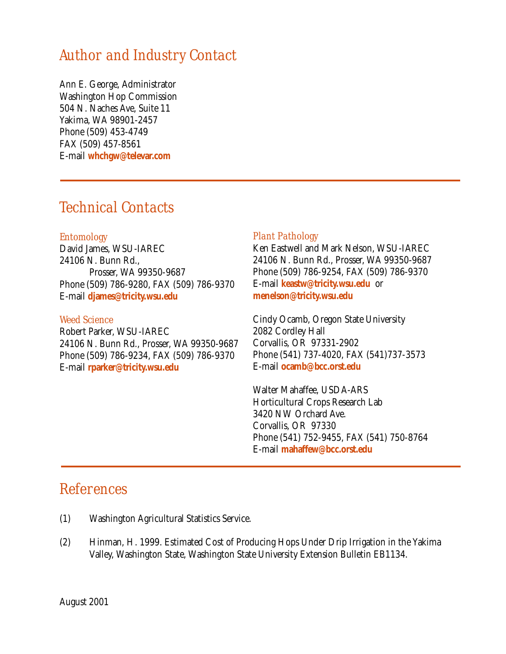# Author and Industry Contact

Ann E. George, Administrator Washington Hop Commission 504 N. Naches Ave, Suite 11 Yakima, WA 98901-2457 Phone (509) 453-4749 FAX (509) 457-8561 E-mail **whchgw@televar.com**

# Technical Contacts

### *Entomology*

David James, WSU-IAREC 24106 N. Bunn Rd., Prosser, WA 99350-9687 Phone (509) 786-9280, FAX (509) 786-9370 E-mail **djames@tricity.wsu.edu**

## *Weed Science*

Robert Parker, WSU-IAREC 24106 N. Bunn Rd., Prosser, WA 99350-9687 Phone (509) 786-9234, FAX (509) 786-9370 E-mail **rparker@tricity.wsu.edu**

### *Plant Pathology*

Ken Eastwell and Mark Nelson, WSU-IAREC 24106 N. Bunn Rd., Prosser, WA 99350-9687 Phone (509) 786-9254, FAX (509) 786-9370 E-mail **keastw@tricity.wsu.edu** or **menelson@tricity.wsu.edu**

Cindy Ocamb, Oregon State University 2082 Cordley Hall Corvallis, OR 97331-2902 Phone (541) 737-4020, FAX (541)737-3573 E-mail **ocamb@bcc.orst.edu**

Walter Mahaffee, USDA-ARS Horticultural Crops Research Lab 3420 NW Orchard Ave. Corvallis, OR 97330 Phone (541) 752-9455, FAX (541) 750-8764 E-mail **mahaffew@bcc.orst.edu**

# **References**

- (1) Washington Agricultural Statistics Service.
- (2) Hinman, H. 1999. Estimated Cost of Producing Hops Under Drip Irrigation in the Yakima Valley, Washington State, Washington State University Extension Bulletin EB1134.